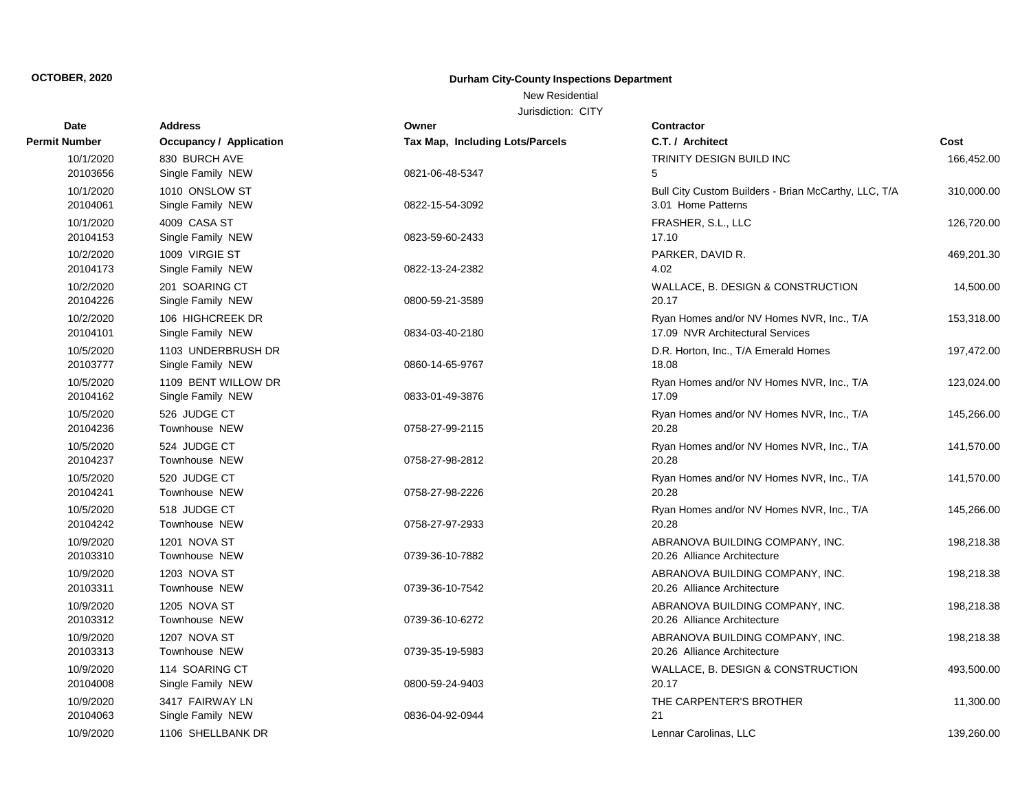### New Residential

| Date                  | <b>Address</b>                       | Owner                           | <b>Contractor</b>                                              |            |
|-----------------------|--------------------------------------|---------------------------------|----------------------------------------------------------------|------------|
| Permit Number         | <b>Occupancy / Application</b>       | Tax Map, Including Lots/Parcels | C.T. / Architect                                               | Cost       |
| 10/1/2020             | 830 BURCH AVE                        |                                 | TRINITY DESIGN BUILD INC                                       | 166,452.00 |
| 20103656              | Single Family NEW                    | 0821-06-48-5347                 | 5                                                              |            |
| 10/1/2020             | 1010 ONSLOW ST                       |                                 | Bull City Custom Builders - Brian McCarthy, LLC, T/A           | 310,000.00 |
| 20104061              | Single Family NEW                    | 0822-15-54-3092                 | 3.01 Home Patterns                                             |            |
| 10/1/2020             | 4009 CASA ST                         |                                 | FRASHER, S.L., LLC                                             | 126,720.00 |
| 20104153              | Single Family NEW                    | 0823-59-60-2433                 | 17.10                                                          |            |
| 10/2/2020             | 1009 VIRGIE ST                       |                                 | PARKER, DAVID R.                                               | 469,201.30 |
| 20104173              | Single Family NEW                    | 0822-13-24-2382                 | 4.02                                                           |            |
| 10/2/2020             | 201 SOARING CT                       |                                 | WALLACE, B. DESIGN & CONSTRUCTION                              | 14,500.00  |
| 20104226              | Single Family NEW                    | 0800-59-21-3589                 | 20.17                                                          |            |
| 10/2/2020             | 106 HIGHCREEK DR                     |                                 | Ryan Homes and/or NV Homes NVR, Inc., T/A                      | 153,318.00 |
| 20104101              | Single Family NEW                    | 0834-03-40-2180                 | 17.09 NVR Architectural Services                               |            |
| 10/5/2020             | 1103 UNDERBRUSH DR                   |                                 | D.R. Horton, Inc., T/A Emerald Homes                           | 197,472.00 |
| 20103777              | Single Family NEW                    | 0860-14-65-9767                 | 18.08                                                          |            |
| 10/5/2020             | 1109 BENT WILLOW DR                  |                                 | Ryan Homes and/or NV Homes NVR, Inc., T/A                      | 123,024.00 |
| 20104162              | Single Family NEW                    | 0833-01-49-3876                 | 17.09                                                          |            |
| 10/5/2020             | 526 JUDGE CT                         |                                 | Ryan Homes and/or NV Homes NVR, Inc., T/A                      | 145,266.00 |
| 20104236              | Townhouse NEW                        | 0758-27-99-2115                 | 20.28                                                          |            |
| 10/5/2020             | 524 JUDGE CT                         |                                 | Ryan Homes and/or NV Homes NVR, Inc., T/A                      | 141,570.00 |
| 20104237              | Townhouse NEW                        | 0758-27-98-2812                 | 20.28                                                          |            |
| 10/5/2020             | 520 JUDGE CT                         |                                 | Ryan Homes and/or NV Homes NVR, Inc., T/A                      | 141,570.00 |
| 20104241              | Townhouse NEW                        | 0758-27-98-2226                 | 20.28                                                          |            |
| 10/5/2020             | 518 JUDGE CT                         |                                 | Ryan Homes and/or NV Homes NVR, Inc., T/A                      | 145,266.00 |
| 20104242              | Townhouse NEW                        | 0758-27-97-2933                 | 20.28                                                          |            |
| 10/9/2020<br>20103310 | <b>1201 NOVA ST</b><br>Townhouse NEW | 0739-36-10-7882                 | ABRANOVA BUILDING COMPANY, INC.                                | 198,218.38 |
|                       |                                      |                                 | 20.26 Alliance Architecture                                    |            |
| 10/9/2020<br>20103311 | <b>1203 NOVA ST</b><br>Townhouse NEW | 0739-36-10-7542                 | ABRANOVA BUILDING COMPANY, INC.<br>20.26 Alliance Architecture | 198,218.38 |
|                       |                                      |                                 |                                                                |            |
| 10/9/2020<br>20103312 | 1205 NOVA ST<br>Townhouse NEW        | 0739-36-10-6272                 | ABRANOVA BUILDING COMPANY, INC.<br>20.26 Alliance Architecture | 198,218.38 |
| 10/9/2020             | 1207 NOVA ST                         |                                 | ABRANOVA BUILDING COMPANY, INC.                                | 198,218.38 |
| 20103313              | Townhouse NEW                        | 0739-35-19-5983                 | 20.26 Alliance Architecture                                    |            |
| 10/9/2020             | 114 SOARING CT                       |                                 | WALLACE, B. DESIGN & CONSTRUCTION                              |            |
| 20104008              | Single Family NEW                    | 0800-59-24-9403                 | 20.17                                                          | 493,500.00 |
| 10/9/2020             | 3417 FAIRWAY LN                      |                                 | THE CARPENTER'S BROTHER                                        | 11,300.00  |
| 20104063              | Single Family NEW                    | 0836-04-92-0944                 | 21                                                             |            |
| 10/9/2020             | 1106 SHELLBANK DR                    |                                 | Lennar Carolinas, LLC                                          | 139,260.00 |
|                       |                                      |                                 |                                                                |            |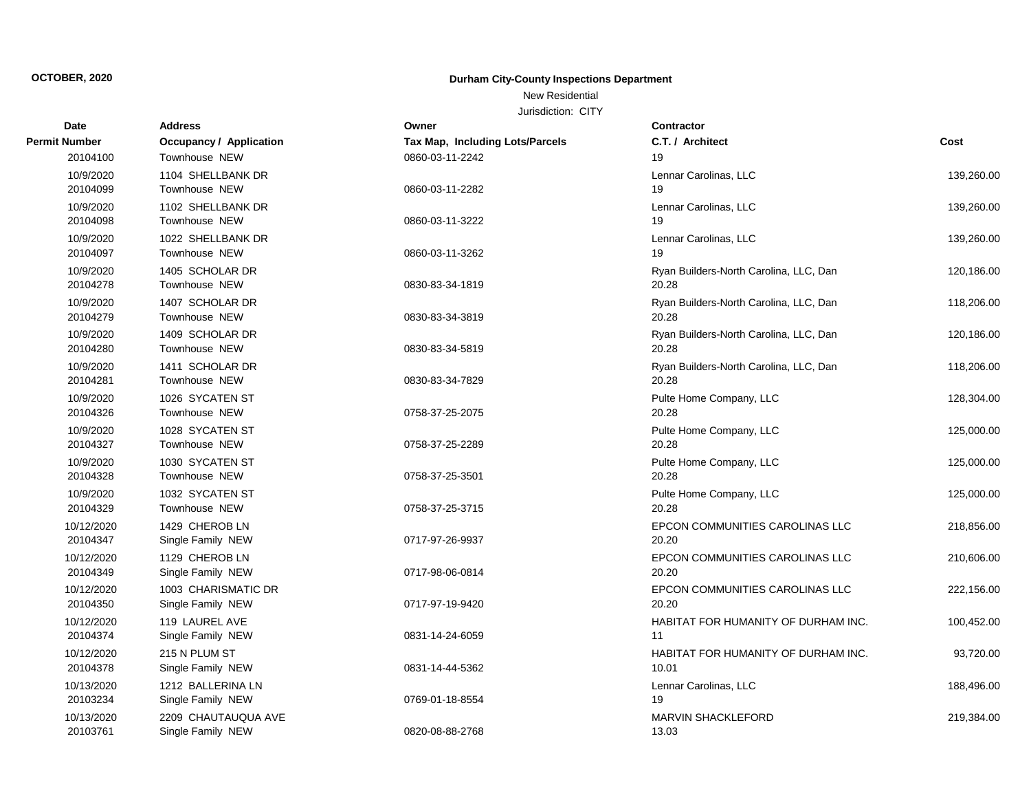### New Residential

| Date                   | <b>Address</b>                           | Owner                           | <b>Contractor</b>                               |            |
|------------------------|------------------------------------------|---------------------------------|-------------------------------------------------|------------|
| Permit Number          | <b>Occupancy / Application</b>           | Tax Map, Including Lots/Parcels | C.T. / Architect                                | Cost       |
| 20104100               | Townhouse NEW                            | 0860-03-11-2242                 | 19                                              |            |
| 10/9/2020<br>20104099  | 1104 SHELLBANK DR<br>Townhouse NEW       | 0860-03-11-2282                 | Lennar Carolinas, LLC<br>19                     | 139,260.00 |
| 10/9/2020<br>20104098  | 1102 SHELLBANK DR<br>Townhouse NEW       | 0860-03-11-3222                 | Lennar Carolinas, LLC<br>19                     | 139,260.00 |
| 10/9/2020<br>20104097  | 1022 SHELLBANK DR<br>Townhouse NEW       | 0860-03-11-3262                 | Lennar Carolinas, LLC<br>19                     | 139,260.00 |
| 10/9/2020<br>20104278  | 1405 SCHOLAR DR<br>Townhouse NEW         | 0830-83-34-1819                 | Ryan Builders-North Carolina, LLC, Dan<br>20.28 | 120,186.00 |
| 10/9/2020<br>20104279  | 1407 SCHOLAR DR<br>Townhouse NEW         | 0830-83-34-3819                 | Ryan Builders-North Carolina, LLC, Dan<br>20.28 | 118,206.00 |
| 10/9/2020<br>20104280  | 1409 SCHOLAR DR<br>Townhouse NEW         | 0830-83-34-5819                 | Ryan Builders-North Carolina, LLC, Dan<br>20.28 | 120,186.00 |
| 10/9/2020<br>20104281  | 1411 SCHOLAR DR<br>Townhouse NEW         | 0830-83-34-7829                 | Ryan Builders-North Carolina, LLC, Dan<br>20.28 | 118,206.00 |
| 10/9/2020<br>20104326  | 1026 SYCATEN ST<br>Townhouse NEW         | 0758-37-25-2075                 | Pulte Home Company, LLC<br>20.28                | 128,304.00 |
| 10/9/2020<br>20104327  | 1028 SYCATEN ST<br>Townhouse NEW         | 0758-37-25-2289                 | Pulte Home Company, LLC<br>20.28                | 125,000.00 |
| 10/9/2020<br>20104328  | 1030 SYCATEN ST<br>Townhouse NEW         | 0758-37-25-3501                 | Pulte Home Company, LLC<br>20.28                | 125,000.00 |
| 10/9/2020<br>20104329  | 1032 SYCATEN ST<br>Townhouse NEW         | 0758-37-25-3715                 | Pulte Home Company, LLC<br>20.28                | 125,000.00 |
| 10/12/2020<br>20104347 | 1429 CHEROB LN<br>Single Family NEW      | 0717-97-26-9937                 | EPCON COMMUNITIES CAROLINAS LLC<br>20.20        | 218,856.00 |
| 10/12/2020<br>20104349 | 1129 CHEROB LN<br>Single Family NEW      | 0717-98-06-0814                 | EPCON COMMUNITIES CAROLINAS LLC<br>20.20        | 210,606.00 |
| 10/12/2020<br>20104350 | 1003 CHARISMATIC DR<br>Single Family NEW | 0717-97-19-9420                 | EPCON COMMUNITIES CAROLINAS LLC<br>20.20        | 222,156.00 |
| 10/12/2020<br>20104374 | 119 LAUREL AVE<br>Single Family NEW      | 0831-14-24-6059                 | HABITAT FOR HUMANITY OF DURHAM INC.<br>11       | 100,452.00 |
| 10/12/2020<br>20104378 | 215 N PLUM ST<br>Single Family NEW       | 0831-14-44-5362                 | HABITAT FOR HUMANITY OF DURHAM INC.<br>10.01    | 93,720.00  |
| 10/13/2020<br>20103234 | 1212 BALLERINA LN<br>Single Family NEW   | 0769-01-18-8554                 | Lennar Carolinas, LLC<br>19                     | 188,496.00 |
| 10/13/2020<br>20103761 | 2209 CHAUTAUQUA AVE<br>Single Family NEW | 0820-08-88-2768                 | MARVIN SHACKLEFORD<br>13.03                     | 219,384.00 |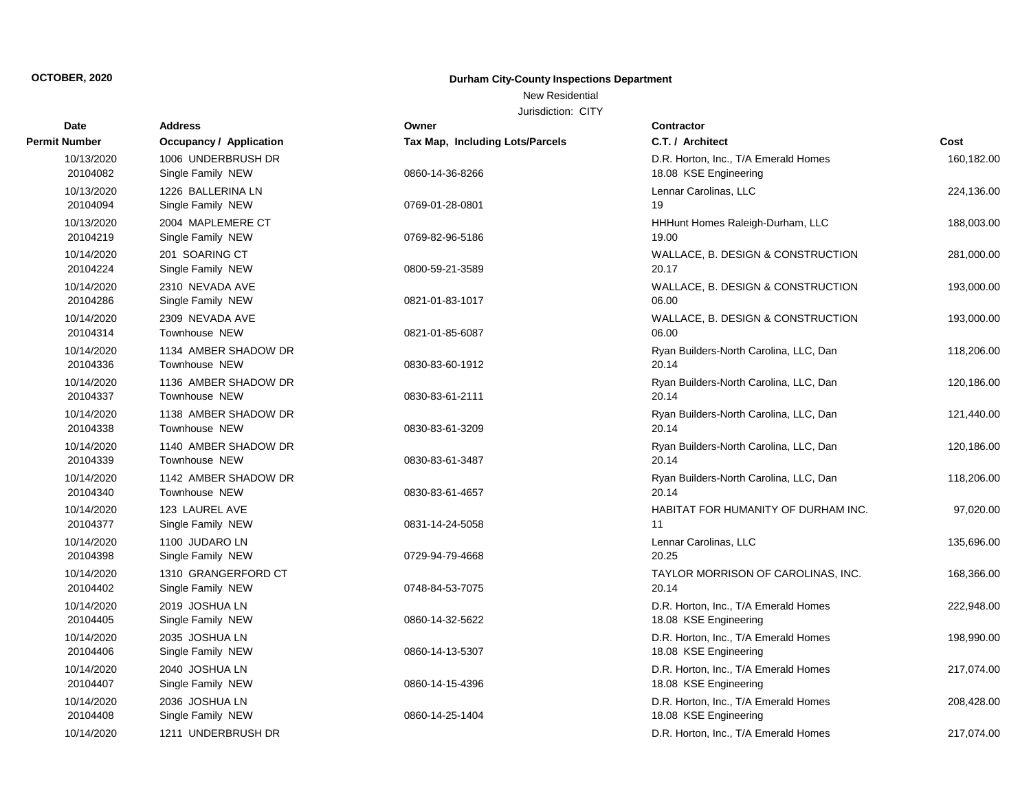### New Residential

| Date                   | <b>Address</b>                           | Owner                           | <b>Contractor</b>                                             |            |
|------------------------|------------------------------------------|---------------------------------|---------------------------------------------------------------|------------|
| Permit Number          | Occupancy / Application                  | Tax Map, Including Lots/Parcels | C.T. / Architect                                              | Cost       |
| 10/13/2020<br>20104082 | 1006 UNDERBRUSH DR<br>Single Family NEW  | 0860-14-36-8266                 | D.R. Horton, Inc., T/A Emerald Homes<br>18.08 KSE Engineering | 160,182.00 |
| 10/13/2020<br>20104094 | 1226 BALLERINA LN<br>Single Family NEW   | 0769-01-28-0801                 | Lennar Carolinas, LLC<br>19                                   | 224,136.00 |
| 10/13/2020<br>20104219 | 2004 MAPLEMERE CT<br>Single Family NEW   | 0769-82-96-5186                 | HHHunt Homes Raleigh-Durham, LLC<br>19.00                     | 188,003.00 |
| 10/14/2020<br>20104224 | 201 SOARING CT<br>Single Family NEW      | 0800-59-21-3589                 | WALLACE, B. DESIGN & CONSTRUCTION<br>20.17                    | 281,000.00 |
| 10/14/2020<br>20104286 | 2310 NEVADA AVE<br>Single Family NEW     | 0821-01-83-1017                 | WALLACE, B. DESIGN & CONSTRUCTION<br>06.00                    | 193,000.00 |
| 10/14/2020<br>20104314 | 2309 NEVADA AVE<br>Townhouse NEW         | 0821-01-85-6087                 | WALLACE, B. DESIGN & CONSTRUCTION<br>06.00                    | 193,000.00 |
| 10/14/2020<br>20104336 | 1134 AMBER SHADOW DR<br>Townhouse NEW    | 0830-83-60-1912                 | Ryan Builders-North Carolina, LLC, Dan<br>20.14               | 118,206.00 |
| 10/14/2020<br>20104337 | 1136 AMBER SHADOW DR<br>Townhouse NEW    | 0830-83-61-2111                 | Ryan Builders-North Carolina, LLC, Dan<br>20.14               | 120,186.00 |
| 10/14/2020<br>20104338 | 1138 AMBER SHADOW DR<br>Townhouse NEW    | 0830-83-61-3209                 | Ryan Builders-North Carolina, LLC, Dan<br>20.14               | 121,440.00 |
| 10/14/2020<br>20104339 | 1140 AMBER SHADOW DR<br>Townhouse NEW    | 0830-83-61-3487                 | Ryan Builders-North Carolina, LLC, Dan<br>20.14               | 120,186.00 |
| 10/14/2020<br>20104340 | 1142 AMBER SHADOW DR<br>Townhouse NEW    | 0830-83-61-4657                 | Ryan Builders-North Carolina, LLC, Dan<br>20.14               | 118,206.00 |
| 10/14/2020<br>20104377 | 123 LAUREL AVE<br>Single Family NEW      | 0831-14-24-5058                 | HABITAT FOR HUMANITY OF DURHAM INC.<br>11                     | 97,020.00  |
| 10/14/2020<br>20104398 | 1100 JUDARO LN<br>Single Family NEW      | 0729-94-79-4668                 | Lennar Carolinas, LLC<br>20.25                                | 135,696.00 |
| 10/14/2020<br>20104402 | 1310 GRANGERFORD CT<br>Single Family NEW | 0748-84-53-7075                 | TAYLOR MORRISON OF CAROLINAS, INC.<br>20.14                   | 168,366.00 |
| 10/14/2020<br>20104405 | 2019 JOSHUA LN<br>Single Family NEW      | 0860-14-32-5622                 | D.R. Horton, Inc., T/A Emerald Homes<br>18.08 KSE Engineering | 222,948.00 |
| 10/14/2020<br>20104406 | 2035 JOSHUA LN<br>Single Family NEW      | 0860-14-13-5307                 | D.R. Horton, Inc., T/A Emerald Homes<br>18.08 KSE Engineering | 198,990.00 |
| 10/14/2020<br>20104407 | 2040 JOSHUA LN<br>Single Family NEW      | 0860-14-15-4396                 | D.R. Horton, Inc., T/A Emerald Homes<br>18.08 KSE Engineering | 217,074.00 |
| 10/14/2020<br>20104408 | 2036 JOSHUA LN<br>Single Family NEW      | 0860-14-25-1404                 | D.R. Horton, Inc., T/A Emerald Homes<br>18.08 KSE Engineering | 208,428.00 |
| 10/14/2020             | 1211 UNDERBRUSH DR                       |                                 | D.R. Horton, Inc., T/A Emerald Homes                          | 217.074.00 |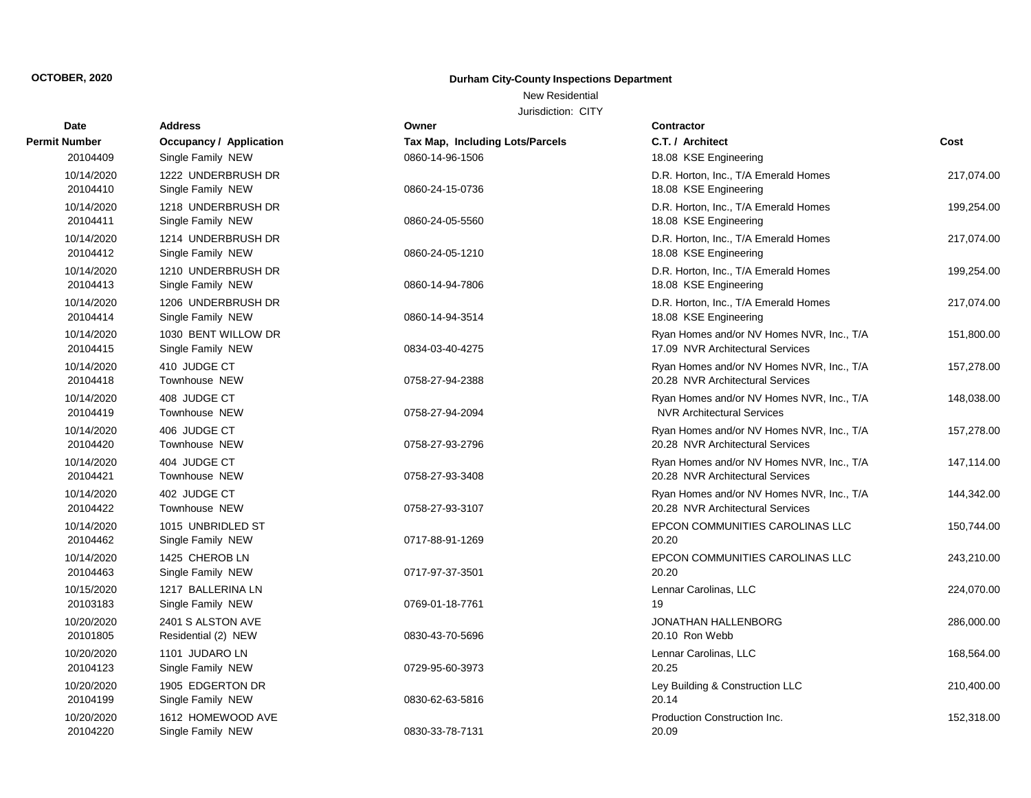### New Residential

| Date                   | <b>Address</b>                           | Owner                           | <b>Contractor</b>                                                              |            |
|------------------------|------------------------------------------|---------------------------------|--------------------------------------------------------------------------------|------------|
| Permit Number          | <b>Occupancy / Application</b>           | Tax Map, Including Lots/Parcels | C.T. / Architect                                                               | Cost       |
| 20104409               | Single Family NEW                        | 0860-14-96-1506                 | 18.08 KSE Engineering                                                          |            |
| 10/14/2020<br>20104410 | 1222 UNDERBRUSH DR<br>Single Family NEW  | 0860-24-15-0736                 | D.R. Horton, Inc., T/A Emerald Homes<br>18.08 KSE Engineering                  | 217,074.00 |
| 10/14/2020<br>20104411 | 1218 UNDERBRUSH DR<br>Single Family NEW  | 0860-24-05-5560                 | D.R. Horton, Inc., T/A Emerald Homes<br>18.08 KSE Engineering                  | 199,254.00 |
| 10/14/2020<br>20104412 | 1214 UNDERBRUSH DR<br>Single Family NEW  | 0860-24-05-1210                 | D.R. Horton, Inc., T/A Emerald Homes<br>18.08 KSE Engineering                  | 217,074.00 |
| 10/14/2020<br>20104413 | 1210 UNDERBRUSH DR<br>Single Family NEW  | 0860-14-94-7806                 | D.R. Horton, Inc., T/A Emerald Homes<br>18.08 KSE Engineering                  | 199,254.00 |
| 10/14/2020<br>20104414 | 1206 UNDERBRUSH DR<br>Single Family NEW  | 0860-14-94-3514                 | D.R. Horton, Inc., T/A Emerald Homes<br>18.08 KSE Engineering                  | 217,074.00 |
| 10/14/2020<br>20104415 | 1030 BENT WILLOW DR<br>Single Family NEW | 0834-03-40-4275                 | Ryan Homes and/or NV Homes NVR, Inc., T/A<br>17.09 NVR Architectural Services  | 151,800.00 |
| 10/14/2020<br>20104418 | 410 JUDGE CT<br>Townhouse NEW            | 0758-27-94-2388                 | Ryan Homes and/or NV Homes NVR, Inc., T/A<br>20.28 NVR Architectural Services  | 157,278.00 |
| 10/14/2020<br>20104419 | 408 JUDGE CT<br>Townhouse NEW            | 0758-27-94-2094                 | Ryan Homes and/or NV Homes NVR, Inc., T/A<br><b>NVR Architectural Services</b> | 148,038.00 |
| 10/14/2020<br>20104420 | 406 JUDGE CT<br>Townhouse NEW            | 0758-27-93-2796                 | Ryan Homes and/or NV Homes NVR, Inc., T/A<br>20.28 NVR Architectural Services  | 157,278.00 |
| 10/14/2020<br>20104421 | 404 JUDGE CT<br>Townhouse NEW            | 0758-27-93-3408                 | Ryan Homes and/or NV Homes NVR, Inc., T/A<br>20.28 NVR Architectural Services  | 147,114.00 |
| 10/14/2020<br>20104422 | 402 JUDGE CT<br>Townhouse NEW            | 0758-27-93-3107                 | Ryan Homes and/or NV Homes NVR, Inc., T/A<br>20.28 NVR Architectural Services  | 144,342.00 |
| 10/14/2020<br>20104462 | 1015 UNBRIDLED ST<br>Single Family NEW   | 0717-88-91-1269                 | EPCON COMMUNITIES CAROLINAS LLC<br>20.20                                       | 150,744.00 |
| 10/14/2020<br>20104463 | 1425 CHEROB LN<br>Single Family NEW      | 0717-97-37-3501                 | EPCON COMMUNITIES CAROLINAS LLC<br>20.20                                       | 243,210.00 |
| 10/15/2020<br>20103183 | 1217 BALLERINA LN<br>Single Family NEW   | 0769-01-18-7761                 | Lennar Carolinas, LLC<br>19                                                    | 224,070.00 |
| 10/20/2020<br>20101805 | 2401 S ALSTON AVE<br>Residential (2) NEW | 0830-43-70-5696                 | <b>JONATHAN HALLENBORG</b><br>20.10 Ron Webb                                   | 286,000.00 |
| 10/20/2020<br>20104123 | 1101 JUDARO LN<br>Single Family NEW      | 0729-95-60-3973                 | Lennar Carolinas, LLC<br>20.25                                                 | 168,564.00 |
| 10/20/2020<br>20104199 | 1905 EDGERTON DR<br>Single Family NEW    | 0830-62-63-5816                 | Ley Building & Construction LLC<br>20.14                                       | 210,400.00 |
| 10/20/2020<br>20104220 | 1612 HOMEWOOD AVE<br>Single Family NEW   | 0830-33-78-7131                 | Production Construction Inc.<br>20.09                                          | 152,318.00 |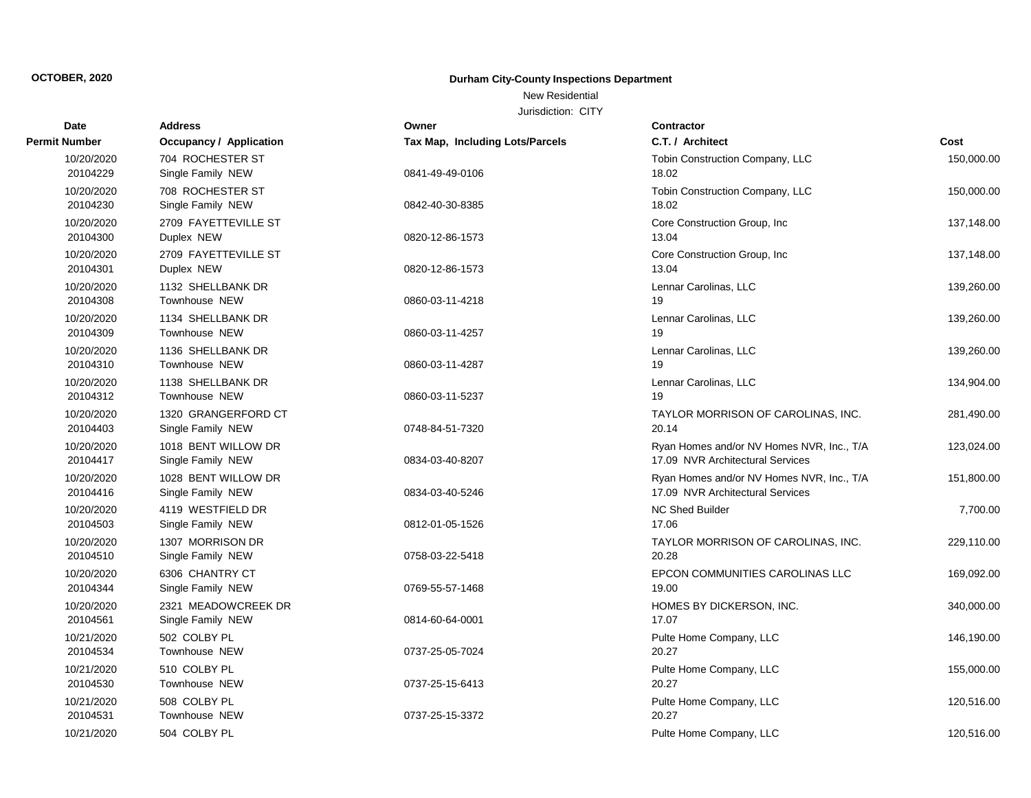### New Residential

| Date                   | <b>Address</b>                           | Owner                           | Contractor                                                                    |            |
|------------------------|------------------------------------------|---------------------------------|-------------------------------------------------------------------------------|------------|
| Permit Number          | <b>Occupancy / Application</b>           | Tax Map, Including Lots/Parcels | C.T. / Architect                                                              | Cost       |
| 10/20/2020<br>20104229 | 704 ROCHESTER ST<br>Single Family NEW    | 0841-49-49-0106                 | Tobin Construction Company, LLC<br>18.02                                      | 150,000.00 |
| 10/20/2020<br>20104230 | 708 ROCHESTER ST<br>Single Family NEW    | 0842-40-30-8385                 | Tobin Construction Company, LLC<br>18.02                                      | 150,000.00 |
| 10/20/2020<br>20104300 | 2709 FAYETTEVILLE ST<br>Duplex NEW       | 0820-12-86-1573                 | Core Construction Group, Inc.<br>13.04                                        | 137,148.00 |
| 10/20/2020<br>20104301 | 2709 FAYETTEVILLE ST<br>Duplex NEW       | 0820-12-86-1573                 | Core Construction Group, Inc<br>13.04                                         | 137,148.00 |
| 10/20/2020<br>20104308 | 1132 SHELLBANK DR<br>Townhouse NEW       | 0860-03-11-4218                 | Lennar Carolinas, LLC<br>19                                                   | 139,260.00 |
| 10/20/2020<br>20104309 | 1134 SHELLBANK DR<br>Townhouse NEW       | 0860-03-11-4257                 | Lennar Carolinas, LLC<br>19                                                   | 139,260.00 |
| 10/20/2020<br>20104310 | 1136 SHELLBANK DR<br>Townhouse NEW       | 0860-03-11-4287                 | Lennar Carolinas, LLC<br>19                                                   | 139,260.00 |
| 10/20/2020<br>20104312 | 1138 SHELLBANK DR<br>Townhouse NEW       | 0860-03-11-5237                 | Lennar Carolinas, LLC<br>19                                                   | 134,904.00 |
| 10/20/2020<br>20104403 | 1320 GRANGERFORD CT<br>Single Family NEW | 0748-84-51-7320                 | TAYLOR MORRISON OF CAROLINAS, INC.<br>20.14                                   | 281,490.00 |
| 10/20/2020<br>20104417 | 1018 BENT WILLOW DR<br>Single Family NEW | 0834-03-40-8207                 | Ryan Homes and/or NV Homes NVR, Inc., T/A<br>17.09 NVR Architectural Services | 123,024.00 |
| 10/20/2020<br>20104416 | 1028 BENT WILLOW DR<br>Single Family NEW | 0834-03-40-5246                 | Ryan Homes and/or NV Homes NVR, Inc., T/A<br>17.09 NVR Architectural Services | 151,800.00 |
| 10/20/2020<br>20104503 | 4119 WESTFIELD DR<br>Single Family NEW   | 0812-01-05-1526                 | NC Shed Builder<br>17.06                                                      | 7,700.00   |
| 10/20/2020<br>20104510 | 1307 MORRISON DR<br>Single Family NEW    | 0758-03-22-5418                 | TAYLOR MORRISON OF CAROLINAS, INC.<br>20.28                                   | 229,110.00 |
| 10/20/2020<br>20104344 | 6306 CHANTRY CT<br>Single Family NEW     | 0769-55-57-1468                 | EPCON COMMUNITIES CAROLINAS LLC<br>19.00                                      | 169,092.00 |
| 10/20/2020<br>20104561 | 2321 MEADOWCREEK DR<br>Single Family NEW | 0814-60-64-0001                 | HOMES BY DICKERSON, INC.<br>17.07                                             | 340,000.00 |
| 10/21/2020<br>20104534 | 502 COLBY PL<br>Townhouse NEW            | 0737-25-05-7024                 | Pulte Home Company, LLC<br>20.27                                              | 146,190.00 |
| 10/21/2020<br>20104530 | 510 COLBY PL<br>Townhouse NEW            | 0737-25-15-6413                 | Pulte Home Company, LLC<br>20.27                                              | 155,000.00 |
| 10/21/2020<br>20104531 | 508 COLBY PL<br>Townhouse NEW            | 0737-25-15-3372                 | Pulte Home Company, LLC<br>20.27                                              | 120,516.00 |
| 10/21/2020             | 504 COLBY PL                             |                                 | Pulte Home Company, LLC                                                       | 120,516.00 |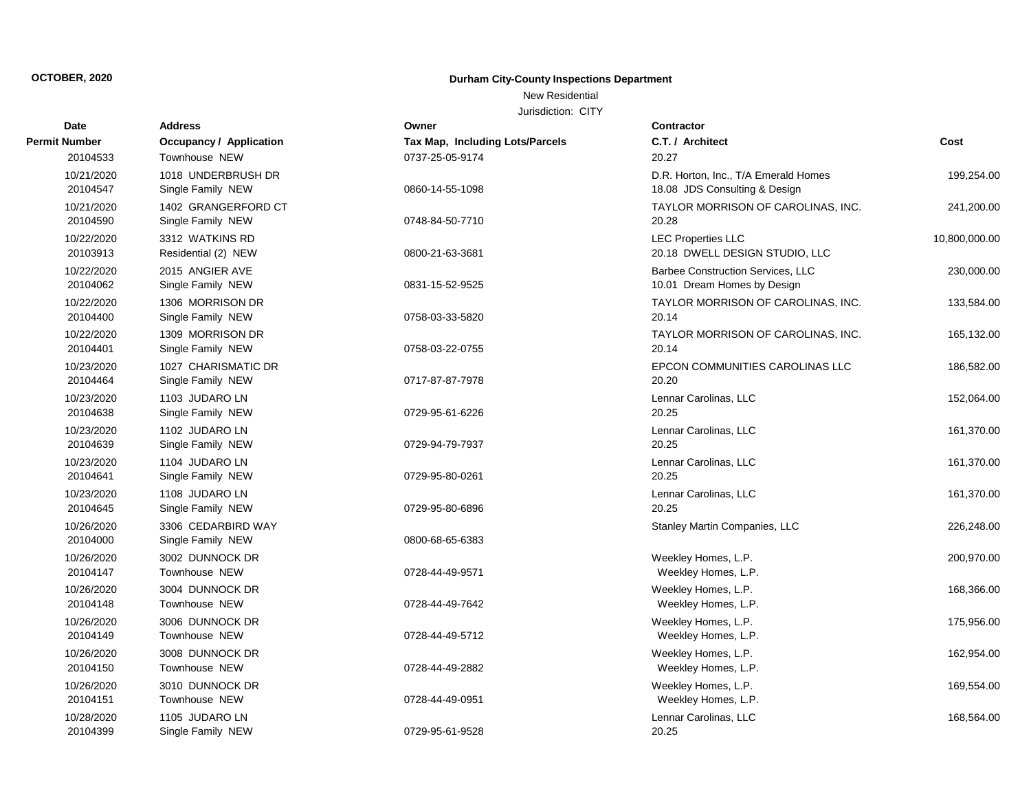### New Residential

| Date                   | <b>Address</b>                           | Owner                           | Contractor                                                              |               |
|------------------------|------------------------------------------|---------------------------------|-------------------------------------------------------------------------|---------------|
| Permit Number          | <b>Occupancy / Application</b>           | Tax Map, Including Lots/Parcels | C.T. / Architect                                                        | Cost          |
| 20104533               | Townhouse NEW                            | 0737-25-05-9174                 | 20.27                                                                   |               |
| 10/21/2020<br>20104547 | 1018 UNDERBRUSH DR<br>Single Family NEW  | 0860-14-55-1098                 | D.R. Horton, Inc., T/A Emerald Homes<br>18.08 JDS Consulting & Design   | 199,254.00    |
| 10/21/2020<br>20104590 | 1402 GRANGERFORD CT<br>Single Family NEW | 0748-84-50-7710                 | TAYLOR MORRISON OF CAROLINAS, INC.<br>20.28                             | 241,200.00    |
| 10/22/2020<br>20103913 | 3312 WATKINS RD<br>Residential (2) NEW   | 0800-21-63-3681                 | <b>LEC Properties LLC</b><br>20.18 DWELL DESIGN STUDIO, LLC             | 10,800,000.00 |
| 10/22/2020<br>20104062 | 2015 ANGIER AVE<br>Single Family NEW     | 0831-15-52-9525                 | <b>Barbee Construction Services, LLC</b><br>10.01 Dream Homes by Design | 230,000.00    |
| 10/22/2020<br>20104400 | 1306 MORRISON DR<br>Single Family NEW    | 0758-03-33-5820                 | TAYLOR MORRISON OF CAROLINAS, INC.<br>20.14                             | 133,584.00    |
| 10/22/2020<br>20104401 | 1309 MORRISON DR<br>Single Family NEW    | 0758-03-22-0755                 | TAYLOR MORRISON OF CAROLINAS, INC.<br>20.14                             | 165,132.00    |
| 10/23/2020<br>20104464 | 1027 CHARISMATIC DR<br>Single Family NEW | 0717-87-87-7978                 | EPCON COMMUNITIES CAROLINAS LLC<br>20.20                                | 186,582.00    |
| 10/23/2020<br>20104638 | 1103 JUDARO LN<br>Single Family NEW      | 0729-95-61-6226                 | Lennar Carolinas, LLC<br>20.25                                          | 152,064.00    |
| 10/23/2020<br>20104639 | 1102 JUDARO LN<br>Single Family NEW      | 0729-94-79-7937                 | Lennar Carolinas, LLC<br>20.25                                          | 161,370.00    |
| 10/23/2020<br>20104641 | 1104 JUDARO LN<br>Single Family NEW      | 0729-95-80-0261                 | Lennar Carolinas, LLC<br>20.25                                          | 161,370.00    |
| 10/23/2020<br>20104645 | 1108 JUDARO LN<br>Single Family NEW      | 0729-95-80-6896                 | Lennar Carolinas, LLC<br>20.25                                          | 161,370.00    |
| 10/26/2020<br>20104000 | 3306 CEDARBIRD WAY<br>Single Family NEW  | 0800-68-65-6383                 | Stanley Martin Companies, LLC                                           | 226,248.00    |
| 10/26/2020<br>20104147 | 3002 DUNNOCK DR<br>Townhouse NEW         | 0728-44-49-9571                 | Weekley Homes, L.P.<br>Weekley Homes, L.P.                              | 200,970.00    |
| 10/26/2020<br>20104148 | 3004 DUNNOCK DR<br>Townhouse NEW         | 0728-44-49-7642                 | Weekley Homes, L.P.<br>Weekley Homes, L.P.                              | 168,366.00    |
| 10/26/2020<br>20104149 | 3006 DUNNOCK DR<br>Townhouse NEW         | 0728-44-49-5712                 | Weekley Homes, L.P.<br>Weekley Homes, L.P.                              | 175,956.00    |
| 10/26/2020<br>20104150 | 3008 DUNNOCK DR<br>Townhouse NEW         | 0728-44-49-2882                 | Weekley Homes, L.P.<br>Weekley Homes, L.P.                              | 162,954.00    |
| 10/26/2020<br>20104151 | 3010 DUNNOCK DR<br>Townhouse NEW         | 0728-44-49-0951                 | Weekley Homes, L.P.<br>Weekley Homes, L.P.                              | 169,554.00    |
| 10/28/2020<br>20104399 | 1105 JUDARO LN<br>Single Family NEW      | 0729-95-61-9528                 | Lennar Carolinas, LLC<br>20.25                                          | 168,564.00    |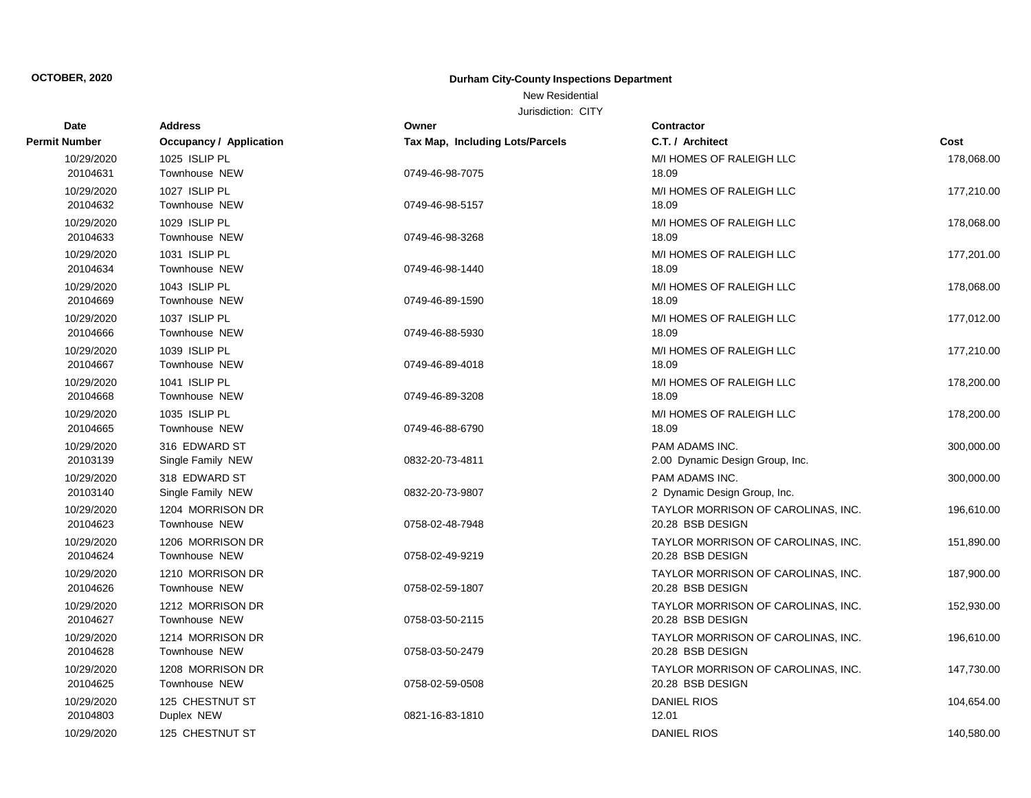### New Residential

| Date                 | <b>Address</b>          | Owner                           | Contractor                         |            |
|----------------------|-------------------------|---------------------------------|------------------------------------|------------|
| <b>Permit Number</b> | Occupancy / Application | Tax Map, Including Lots/Parcels | C.T. / Architect                   | Cost       |
| 10/29/2020           | 1025 ISLIP PL           |                                 | M/I HOMES OF RALEIGH LLC           | 178,068.00 |
| 20104631             | Townhouse NEW           | 0749-46-98-7075                 | 18.09                              |            |
| 10/29/2020           | 1027 ISLIP PL           |                                 | M/I HOMES OF RALEIGH LLC           | 177,210.00 |
| 20104632             | Townhouse NEW           | 0749-46-98-5157                 | 18.09                              |            |
| 10/29/2020           | 1029 ISLIP PL           |                                 | M/I HOMES OF RALEIGH LLC           | 178,068.00 |
| 20104633             | <b>Townhouse NEW</b>    | 0749-46-98-3268                 | 18.09                              |            |
| 10/29/2020           | 1031 ISLIP PL           |                                 | M/I HOMES OF RALEIGH LLC           | 177,201.00 |
| 20104634             | Townhouse NEW           | 0749-46-98-1440                 | 18.09                              |            |
| 10/29/2020           | 1043 ISLIP PL           |                                 | M/I HOMES OF RALEIGH LLC           | 178,068.00 |
| 20104669             | Townhouse NEW           | 0749-46-89-1590                 | 18.09                              |            |
| 10/29/2020           | 1037 ISLIP PL           |                                 | M/I HOMES OF RALEIGH LLC           | 177,012.00 |
| 20104666             | Townhouse NEW           | 0749-46-88-5930                 | 18.09                              |            |
| 10/29/2020           | 1039 ISLIP PL           |                                 | M/I HOMES OF RALEIGH LLC           | 177,210.00 |
| 20104667             | Townhouse NEW           | 0749-46-89-4018                 | 18.09                              |            |
| 10/29/2020           | 1041 ISLIP PL           |                                 | M/I HOMES OF RALEIGH LLC           | 178,200.00 |
| 20104668             | Townhouse NEW           | 0749-46-89-3208                 | 18.09                              |            |
| 10/29/2020           | 1035 ISLIP PL           |                                 | M/I HOMES OF RALEIGH LLC           | 178,200.00 |
| 20104665             | Townhouse NEW           | 0749-46-88-6790                 | 18.09                              |            |
| 10/29/2020           | 316 EDWARD ST           |                                 | <b>PAM ADAMS INC.</b>              | 300,000.00 |
| 20103139             | Single Family NEW       | 0832-20-73-4811                 | 2.00 Dynamic Design Group, Inc.    |            |
| 10/29/2020           | 318 EDWARD ST           |                                 | PAM ADAMS INC.                     | 300,000.00 |
| 20103140             | Single Family NEW       | 0832-20-73-9807                 | 2 Dynamic Design Group, Inc.       |            |
| 10/29/2020           | 1204 MORRISON DR        |                                 | TAYLOR MORRISON OF CAROLINAS, INC. | 196,610.00 |
| 20104623             | Townhouse NEW           | 0758-02-48-7948                 | 20.28 BSB DESIGN                   |            |
| 10/29/2020           | 1206 MORRISON DR        |                                 | TAYLOR MORRISON OF CAROLINAS, INC. | 151,890.00 |
| 20104624             | Townhouse NEW           | 0758-02-49-9219                 | 20.28 BSB DESIGN                   |            |
| 10/29/2020           | 1210 MORRISON DR        |                                 | TAYLOR MORRISON OF CAROLINAS, INC. | 187,900.00 |
| 20104626             | Townhouse NEW           | 0758-02-59-1807                 | 20.28 BSB DESIGN                   |            |
| 10/29/2020           | 1212 MORRISON DR        |                                 | TAYLOR MORRISON OF CAROLINAS, INC. | 152,930.00 |
| 20104627             | <b>Townhouse NEW</b>    | 0758-03-50-2115                 | 20.28 BSB DESIGN                   |            |
| 10/29/2020           | 1214 MORRISON DR        |                                 | TAYLOR MORRISON OF CAROLINAS, INC. | 196,610.00 |
| 20104628             | Townhouse NEW           | 0758-03-50-2479                 | 20.28 BSB DESIGN                   |            |
| 10/29/2020           | 1208 MORRISON DR        |                                 | TAYLOR MORRISON OF CAROLINAS, INC. | 147,730.00 |
| 20104625             | Townhouse NEW           | 0758-02-59-0508                 | 20.28 BSB DESIGN                   |            |
| 10/29/2020           | 125 CHESTNUT ST         |                                 | <b>DANIEL RIOS</b>                 | 104,654.00 |
| 20104803             | Duplex NEW              | 0821-16-83-1810                 | 12.01                              |            |
| 10/29/2020           | 125 CHESTNUT ST         |                                 | <b>DANIEL RIOS</b>                 | 140,580.00 |